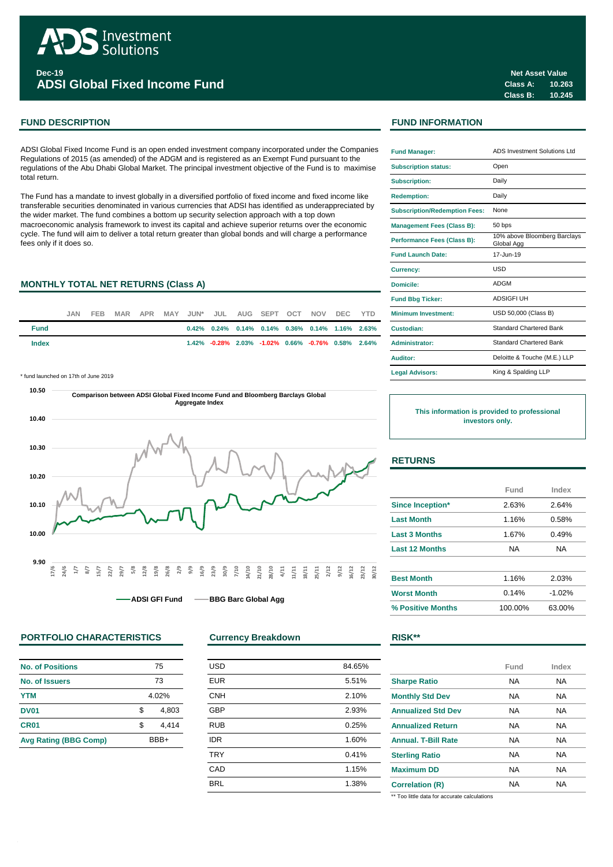

**Dec-19 ADSI Global Fixed Income Fund**

# **FUND DESCRIPTION FUND INFORMATION**

ADSI Global Fixed Income Fund is an open ended investment company incorporated under the Companies Regulations of 2015 (as amended) of the ADGM and is registered as an Exempt Fund pursuant to the regulations of the Abu Dhabi Global Market. The principal investment objective of the Fund is to maximise total return.

The Fund has a mandate to invest globally in a diversified portfolio of fixed income and fixed income like transferable securities denominated in various currencies that ADSI has identified as underappreciated by the wider market. The fund combines a bottom up security selection approach with a top down macroeconomic analysis framework to invest its capital and achieve superior returns over the economic cycle. The fund will aim to deliver a total return greater than global bonds and will charge a performance fees only if it does so.

# **MONTHLY TOTAL NET RETURNS (Class A)**

|             | JAN. | FEB. | MAR APR MAY JUN* JUL AUG SEPT OCT NOV DEC YTD |  |  |                                                       |  |                                                    | <b>Minimum Investment:</b> |
|-------------|------|------|-----------------------------------------------|--|--|-------------------------------------------------------|--|----------------------------------------------------|----------------------------|
| <b>Fund</b> |      |      |                                               |  |  |                                                       |  | $0.42\%$ 0.24% 0.14% 0.14% 0.36% 0.14% 1.16% 2.63% | Custodian:                 |
| Index       |      |      |                                               |  |  | $1.42\%$ -0.28% 2.03% -1.02% 0.66% -0.76% 0.58% 2.64% |  |                                                    | <b>Administrator:</b>      |

\* fund launched on 17th of June 2019 **Legal Advisors:**



# **PORTFOLIO CHARACTERISTICS Currency Breakdown RISK\*\***

| No. of Positions             |      | 75    |  |  |
|------------------------------|------|-------|--|--|
| No. of Issuers               | 73   |       |  |  |
| <b>YTM</b>                   |      | 4.02% |  |  |
| <b>DV01</b>                  | \$   | 4,803 |  |  |
| <b>CR01</b>                  | \$   | 4,414 |  |  |
| <b>Avg Rating (BBG Comp)</b> | BBB+ |       |  |  |

|    | 75    | <b>USD</b> | 84.65% |
|----|-------|------------|--------|
| 73 |       | <b>EUR</b> | 5.51%  |
|    | 4.02% | <b>CNH</b> | 2.10%  |
| \$ | 4,803 | <b>GBP</b> | 2.93%  |
| \$ | 4,414 | <b>RUB</b> | 0.25%  |
|    | BBB+  | <b>IDR</b> | 1.60%  |
|    |       | <b>TRY</b> | 0.41%  |
|    |       | CAD        | 1.15%  |
|    |       | <b>BRL</b> | 1.38%  |
|    |       |            |        |

| <b>Fund Manager:</b>                 | ADS Investment Solutions Ltd               |
|--------------------------------------|--------------------------------------------|
| <b>Subscription status:</b>          | Open                                       |
| <b>Subscription:</b>                 | Daily                                      |
| <b>Redemption:</b>                   | Daily                                      |
| <b>Subscription/Redemption Fees:</b> | None                                       |
| <b>Management Fees (Class B):</b>    | 50 bps                                     |
| Performance Fees (Class B):          | 10% above Bloomberg Barclays<br>Global Agg |
| <b>Fund Launch Date:</b>             | 17-Jun-19                                  |
| <b>Currency:</b>                     | USD                                        |
| Domicile:                            | ADGM                                       |
| <b>Fund Bbg Ticker:</b>              | <b>ADSIGFI UH</b>                          |
| <b>Minimum Investment:</b>           | USD 50,000 (Class B)                       |
| Custodian:                           | <b>Standard Chartered Bank</b>             |
| Administrator:                       | Standard Chartered Bank                    |
| Auditor:                             | Deloitte & Touche (M.E.) LLP               |
| <b>Legal Advisors:</b>               | King & Spalding LLP                        |

**This information is provided to professional investors only.**

# **RETURNS**

|                         | Fund    | Index    |
|-------------------------|---------|----------|
| <b>Since Inception*</b> | 2.63%   | 2.64%    |
| <b>Last Month</b>       | 1.16%   | 0.58%    |
| <b>Last 3 Months</b>    | 1.67%   | 0.49%    |
| <b>Last 12 Months</b>   | NA.     | NA.      |
|                         |         |          |
| <b>Best Month</b>       | 1.16%   | 2.03%    |
| <b>Worst Month</b>      | 0.14%   | $-1.02%$ |
| % Positive Months       | 100.00% | 63.00%   |

|                            | Fund | Index |
|----------------------------|------|-------|
| <b>Sharpe Ratio</b>        | NА   | NA    |
| <b>Monthly Std Dev</b>     | NA   | NA    |
| <b>Annualized Std Dev</b>  | NA   | NA    |
| <b>Annualized Return</b>   | NA   | NA    |
| <b>Annual, T-Bill Rate</b> | NA   | NA    |
| <b>Sterling Ratio</b>      | NА   | NA    |
| <b>Maximum DD</b>          | NА   | NА    |
| <b>Correlation (R)</b>     | NА   | NА    |

\*\* Too little data for accurate calculations